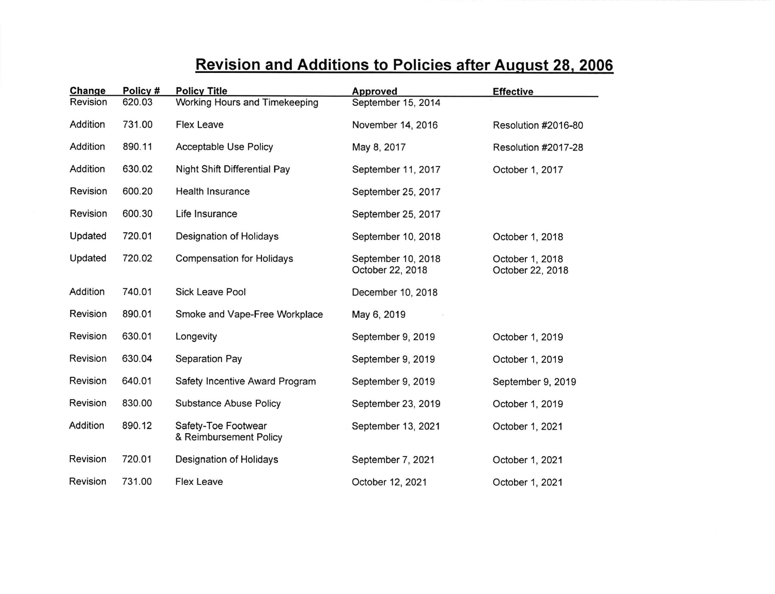## Revision and Additions to Policies after Auqust 28. 2006 Change Policy # Policy Title POiiCV Tit:e ADDroved Effective  $\overline{\phantom{0}}$

| опанде   | $1 \cup 1 \cup 1$ | L Allea Line                                  | Approveu                               | <b>Ellective</b>                    |
|----------|-------------------|-----------------------------------------------|----------------------------------------|-------------------------------------|
| Revision | 620.03            | <b>Working Hours and Timekeeping</b>          | September 15, 2014                     |                                     |
| Addition | 731.00            | <b>Flex Leave</b>                             | November 14, 2016                      | Resolution #2016-80                 |
| Addition | 890.11            | <b>Acceptable Use Policy</b>                  | May 8, 2017                            | Resolution #2017-28                 |
| Addition | 630.02            | Night Shift Differential Pay                  | September 11, 2017                     | October 1, 2017                     |
| Revision | 600.20            | <b>Health Insurance</b>                       | September 25, 2017                     |                                     |
| Revision | 600.30            | Life Insurance                                | September 25, 2017                     |                                     |
| Updated  | 720.01            | Designation of Holidays                       | September 10, 2018                     | October 1, 2018                     |
| Updated  | 720.02            | <b>Compensation for Holidays</b>              | September 10, 2018<br>October 22, 2018 | October 1, 2018<br>October 22, 2018 |
| Addition | 740.01            | <b>Sick Leave Pool</b>                        | December 10, 2018                      |                                     |
| Revision | 890.01            | Smoke and Vape-Free Workplace                 | May 6, 2019                            |                                     |
| Revision | 630.01            | Longevity                                     | September 9, 2019                      | October 1, 2019                     |
| Revision | 630.04            | Separation Pay                                | September 9, 2019                      | October 1, 2019                     |
| Revision | 640.01            | Safety Incentive Award Program                | September 9, 2019                      | September 9, 2019                   |
| Revision | 830.00            | <b>Substance Abuse Policy</b>                 | September 23, 2019                     | October 1, 2019                     |
| Addition | 890.12            | Safety-Toe Footwear<br>& Reimbursement Policy | September 13, 2021                     | October 1, 2021                     |
| Revision | 720.01            | Designation of Holidays                       | September 7, 2021                      | October 1, 2021                     |
| Revision | 731.00            | <b>Flex Leave</b>                             | October 12, 2021                       | October 1, 2021                     |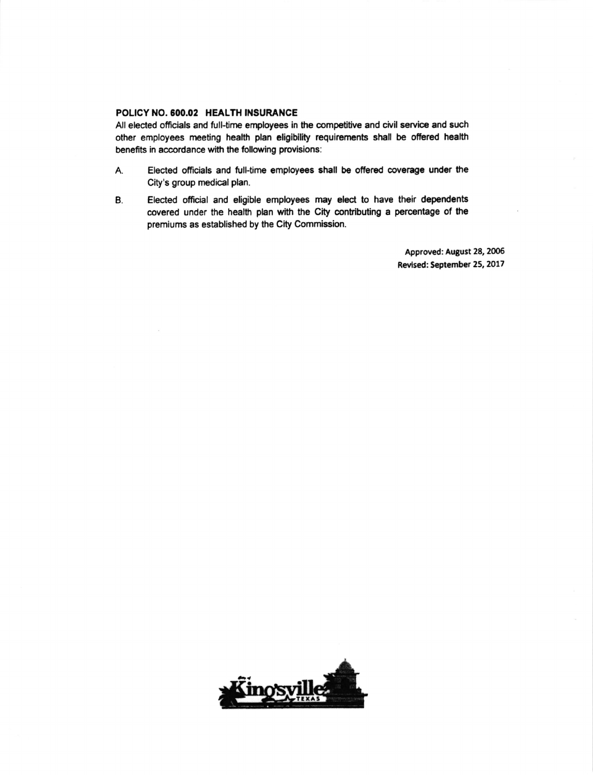## POLICY NO.600.02 HEALTH INSURANCE

All elected officials and full-time employees in the competitive and civil service and such other employees meeting health plan eligibility requirements shall be offered health benefits in accordance with the following provisions:

- A. Elected officials and full-time employees shall be offered coverage under the City's group medical plan.
- B. Elected official and eligible employees may elect to have their dependents covered under the health plan with the City contributing a percentage of the premiums as established by the City Commission.

Approved: August 28, 2006 Revised: September 25, 2017